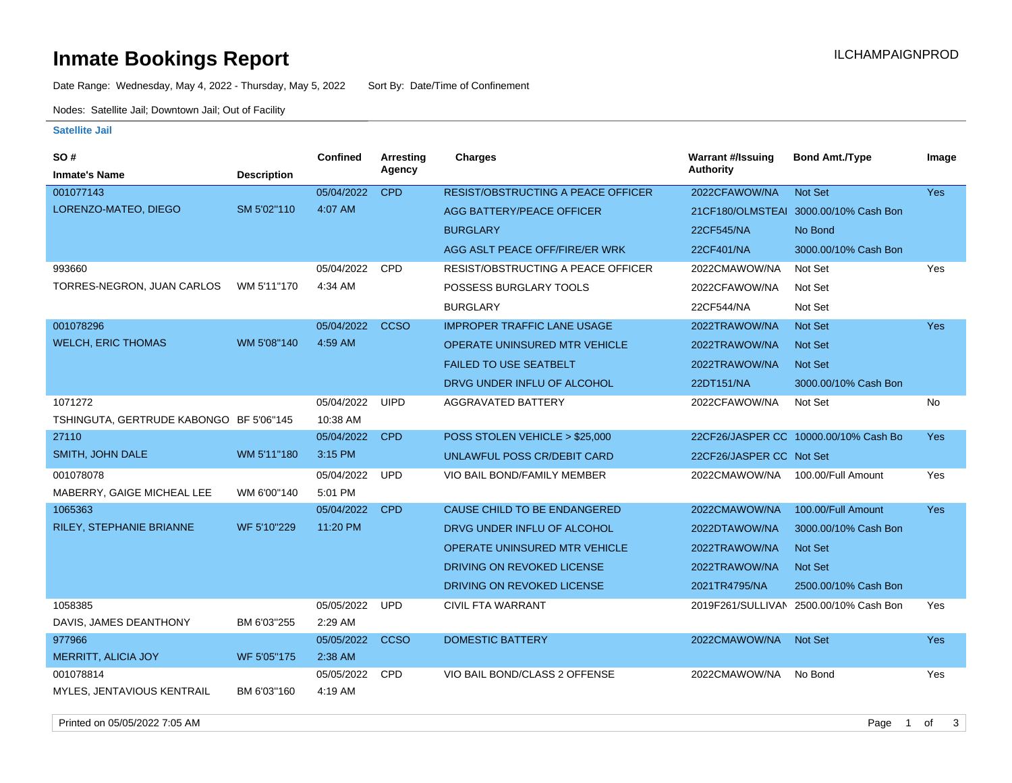# **Inmate Bookings Report Installation Control Control Control Control Control Control Control Control Control Control Control Control Control Control Control Control Control Control Control Control Control Control Control**

Date Range: Wednesday, May 4, 2022 - Thursday, May 5, 2022 Sort By: Date/Time of Confinement

Nodes: Satellite Jail; Downtown Jail; Out of Facility

#### **Satellite Jail**

| <b>SO#</b>                              |                    | <b>Confined</b> | Arresting   | <b>Charges</b>                            | <b>Warrant #/Issuing</b> | <b>Bond Amt./Type</b>                  | Image      |
|-----------------------------------------|--------------------|-----------------|-------------|-------------------------------------------|--------------------------|----------------------------------------|------------|
| <b>Inmate's Name</b>                    | <b>Description</b> |                 | Agency      |                                           | <b>Authority</b>         |                                        |            |
| 001077143                               |                    | 05/04/2022      | <b>CPD</b>  | <b>RESIST/OBSTRUCTING A PEACE OFFICER</b> | 2022CFAWOW/NA            | Not Set                                | Yes        |
| LORENZO-MATEO, DIEGO                    | SM 5'02"110        | 4:07 AM         |             | AGG BATTERY/PEACE OFFICER                 |                          | 21 CF180/OLMSTEAI 3000.00/10% Cash Bon |            |
|                                         |                    |                 |             | <b>BURGLARY</b>                           | 22CF545/NA               | No Bond                                |            |
|                                         |                    |                 |             | AGG ASLT PEACE OFF/FIRE/ER WRK            | 22CF401/NA               | 3000.00/10% Cash Bon                   |            |
| 993660                                  |                    | 05/04/2022      | <b>CPD</b>  | RESIST/OBSTRUCTING A PEACE OFFICER        | 2022CMAWOW/NA            | Not Set                                | Yes        |
| TORRES-NEGRON, JUAN CARLOS              | WM 5'11"170        | 4:34 AM         |             | POSSESS BURGLARY TOOLS                    | 2022CFAWOW/NA            | Not Set                                |            |
|                                         |                    |                 |             | <b>BURGLARY</b>                           | 22CF544/NA               | Not Set                                |            |
| 001078296                               |                    | 05/04/2022      | <b>CCSO</b> | <b>IMPROPER TRAFFIC LANE USAGE</b>        | 2022TRAWOW/NA            | Not Set                                | <b>Yes</b> |
| <b>WELCH, ERIC THOMAS</b>               | WM 5'08"140        | 4:59 AM         |             | <b>OPERATE UNINSURED MTR VEHICLE</b>      | 2022TRAWOW/NA            | Not Set                                |            |
|                                         |                    |                 |             | <b>FAILED TO USE SEATBELT</b>             | 2022TRAWOW/NA            | Not Set                                |            |
|                                         |                    |                 |             | DRVG UNDER INFLU OF ALCOHOL               | 22DT151/NA               | 3000.00/10% Cash Bon                   |            |
| 1071272                                 |                    | 05/04/2022      | <b>UIPD</b> | AGGRAVATED BATTERY                        | 2022CFAWOW/NA            | Not Set                                | <b>No</b>  |
| TSHINGUTA, GERTRUDE KABONGO BF 5'06"145 |                    | 10:38 AM        |             |                                           |                          |                                        |            |
| 27110                                   |                    | 05/04/2022      | <b>CPD</b>  | POSS STOLEN VEHICLE > \$25,000            |                          | 22CF26/JASPER CC 10000.00/10% Cash Bo  | Yes        |
| SMITH, JOHN DALE                        | WM 5'11"180        | 3:15 PM         |             | UNLAWFUL POSS CR/DEBIT CARD               | 22CF26/JASPER CC Not Set |                                        |            |
| 001078078                               |                    | 05/04/2022      | <b>UPD</b>  | VIO BAIL BOND/FAMILY MEMBER               | 2022CMAWOW/NA            | 100.00/Full Amount                     | Yes        |
| MABERRY, GAIGE MICHEAL LEE              | WM 6'00"140        | 5:01 PM         |             |                                           |                          |                                        |            |
| 1065363                                 |                    | 05/04/2022      | <b>CPD</b>  | CAUSE CHILD TO BE ENDANGERED              | 2022CMAWOW/NA            | 100.00/Full Amount                     | <b>Yes</b> |
| RILEY, STEPHANIE BRIANNE                | WF 5'10"229        | 11:20 PM        |             | DRVG UNDER INFLU OF ALCOHOL               | 2022DTAWOW/NA            | 3000.00/10% Cash Bon                   |            |
|                                         |                    |                 |             | <b>OPERATE UNINSURED MTR VEHICLE</b>      | 2022TRAWOW/NA            | <b>Not Set</b>                         |            |
|                                         |                    |                 |             | DRIVING ON REVOKED LICENSE                | 2022TRAWOW/NA            | <b>Not Set</b>                         |            |
|                                         |                    |                 |             | DRIVING ON REVOKED LICENSE                | 2021TR4795/NA            | 2500.00/10% Cash Bon                   |            |
| 1058385                                 |                    | 05/05/2022      | <b>UPD</b>  | <b>CIVIL FTA WARRANT</b>                  |                          | 2019F261/SULLIVAN 2500.00/10% Cash Bon | Yes        |
| DAVIS, JAMES DEANTHONY                  | BM 6'03"255        | 2:29 AM         |             |                                           |                          |                                        |            |
| 977966                                  |                    | 05/05/2022      | <b>CCSO</b> | <b>DOMESTIC BATTERY</b>                   | 2022CMAWOW/NA            | <b>Not Set</b>                         | <b>Yes</b> |
| <b>MERRITT, ALICIA JOY</b>              | WF 5'05"175        | 2:38 AM         |             |                                           |                          |                                        |            |
| 001078814                               |                    | 05/05/2022      | <b>CPD</b>  | VIO BAIL BOND/CLASS 2 OFFENSE             | 2022CMAWOW/NA            | No Bond                                | Yes        |
| MYLES, JENTAVIOUS KENTRAIL              | BM 6'03"160        | 4:19 AM         |             |                                           |                          |                                        |            |

Printed on 05/05/2022 7:05 AM Page 1 of 3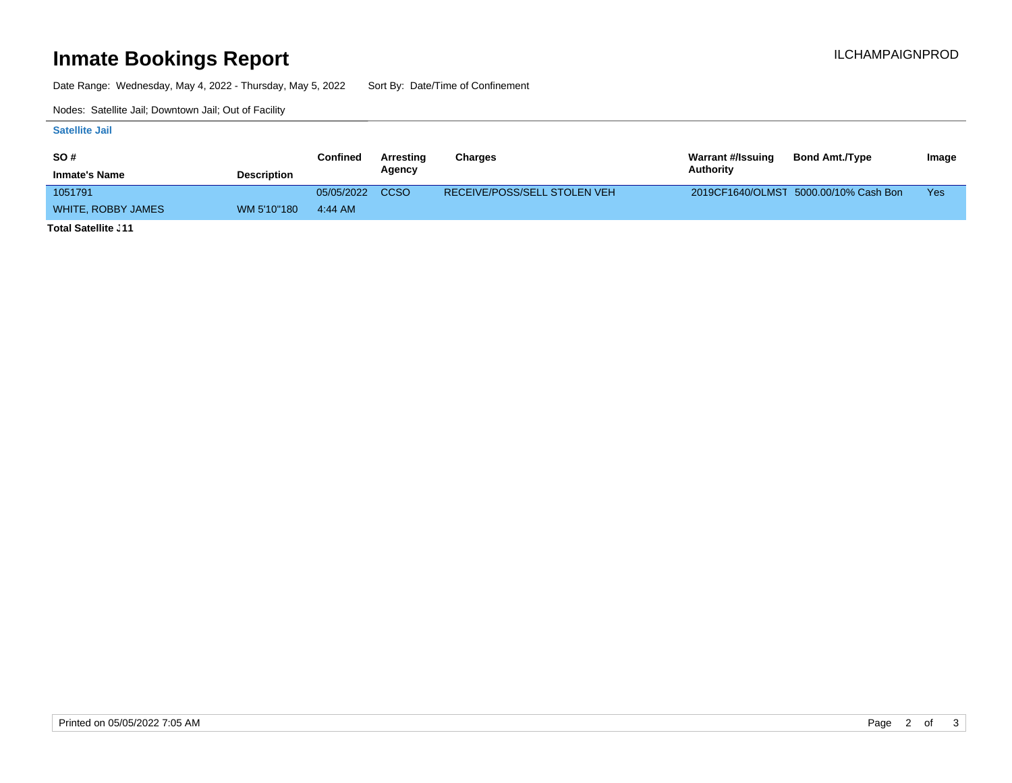### **Inmate Bookings Report International Contract Contract Contract Contract Contract Contract Contract Contract Contract Contract Contract Contract Contract Contract Contract Contract Contract Contract Contract Contract Co**

Date Range: Wednesday, May 4, 2022 - Thursday, May 5, 2022 Sort By: Date/Time of Confinement

Nodes: Satellite Jail; Downtown Jail; Out of Facility

#### **Satellite Jail**

| <b>SO#</b>           |                    | Confined   | Arresting   | Charges                      | <b>Warrant #/Issuing</b> | <b>Bond Amt./Type</b>                 | Image |
|----------------------|--------------------|------------|-------------|------------------------------|--------------------------|---------------------------------------|-------|
| <b>Inmate's Name</b> | <b>Description</b> |            | Agency      |                              | Authority                |                                       |       |
| 1051791              |                    | 05/05/2022 | <b>CCSO</b> | RECEIVE/POSS/SELL STOLEN VEH |                          | 2019CF1640/OLMST 5000.00/10% Cash Bon | Yes   |
| WHITE, ROBBY JAMES   | WM 5'10"180        | 4:44 AM    |             |                              |                          |                                       |       |
| アンチント のうそうせい こうしょく   |                    |            |             |                              |                          |                                       |       |

**Total Satellite Jail: 11**